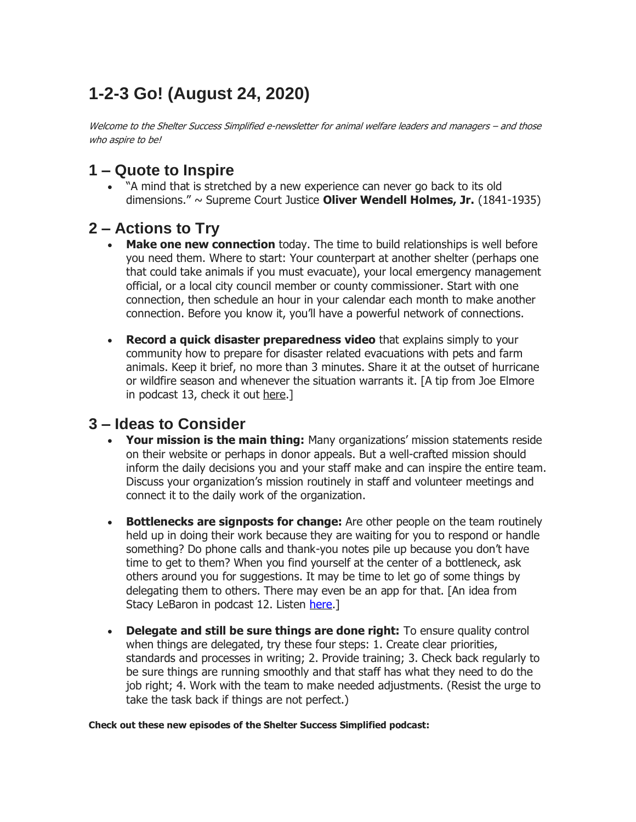# **1-2-3 Go! (August 24, 2020)**

Welcome to the Shelter Success Simplified e-newsletter for animal welfare leaders and managers – and those who aspire to be!

## **1 – Quote to Inspire**

• "A mind that is stretched by a new experience can never go back to its old dimensions." ~ Supreme Court Justice **Oliver Wendell Holmes, Jr.** (1841-1935)

## **2 – Actions to Try**

- **Make one new connection** today. The time to build relationships is well before you need them. Where to start: Your counterpart at another shelter (perhaps one that could take animals if you must evacuate), your local emergency management official, or a local city council member or county commissioner. Start with one connection, then schedule an hour in your calendar each month to make another connection. Before you know it, you'll have a powerful network of connections.
- **Record a quick disaster preparedness video** that explains simply to your community how to prepare for disaster related evacuations with pets and farm animals. Keep it brief, no more than 3 minutes. Share it at the outset of hurricane or wildfire season and whenever the situation warrants it. [A tip from Joe Elmore in podcast 13, check it out here.]

#### **3 – Ideas to Consider**

- **Your mission is the main thing:** Many organizations' mission statements reside on their website or perhaps in donor appeals. But a well-crafted mission should inform the daily decisions you and your staff make and can inspire the entire team. Discuss your organization's mission routinely in staff and volunteer meetings and connect it to the daily work of the organization.
- **Bottlenecks are signposts for change:** Are other people on the team routinely held up in doing their work because they are waiting for you to respond or handle something? Do phone calls and thank-you notes pile up because you don't have time to get to them? When you find yourself at the center of a bottleneck, ask others around you for suggestions. It may be time to let go of some things by delegating them to others. There may even be an app for that. [An idea from Stacy LeBaron in podcast 12. Listen [here.](https://www.humanenetwork.org/podcast/episode/ea5525e3/technology-solutions-and-innovations-for-animal-welfare-groups-ep-12)]
- **Delegate and still be sure things are done right:** To ensure quality control when things are delegated, try these four steps: 1. Create clear priorities, standards and processes in writing; 2. Provide training; 3. Check back regularly to be sure things are running smoothly and that staff has what they need to do the job right; 4. Work with the team to make needed adjustments. (Resist the urge to take the task back if things are not perfect.)

#### **Check out these new episodes of the Shelter Success Simplified podcast:**